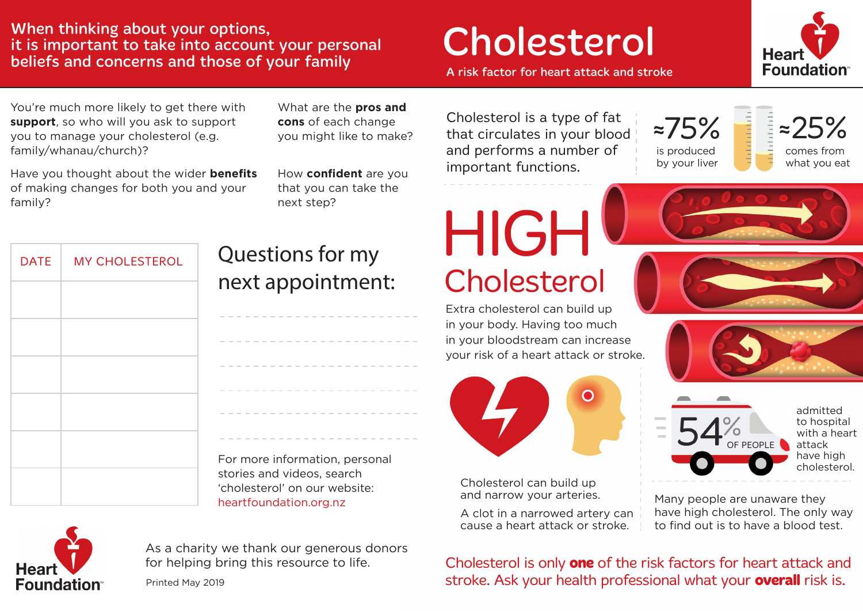### When thinking about your options,<br>it is important to take into account your personal<br>beliefs and concerns and those of your family<br>A risk factor for heart attack and stroke it is important to take into account your personal beliefs and concerns and those of your family



You're much more likely to get there with **support**, so who will you ask to support you to manage your cholesterol (e.g. family/whanau/church)?

Have you thought about the wider **benefits** of making changes for both you and your family?

What are the **pros and cons** of each change you might like to make?

How **confident** are you that you can take the next step?

Cholesterol is a type of fat that circulates in your blood and performs a number of important functions.



 $25%$ comes from what you eat

| <b>DATE</b> | <b>MY CHOLESTEROL</b> |  |  |  |  |  |  |  |  |
|-------------|-----------------------|--|--|--|--|--|--|--|--|
|             |                       |  |  |  |  |  |  |  |  |
|             |                       |  |  |  |  |  |  |  |  |
|             |                       |  |  |  |  |  |  |  |  |
|             |                       |  |  |  |  |  |  |  |  |
|             |                       |  |  |  |  |  |  |  |  |
|             |                       |  |  |  |  |  |  |  |  |

## Questions for my next appointment:

| For more information, personal |  |  |  |  |  |  |  |  |  |  |  |  |  |  |  |  |  |  |
|--------------------------------|--|--|--|--|--|--|--|--|--|--|--|--|--|--|--|--|--|--|

For more information, personal and the cholesterol. The cholesterol. The cholesterol. The cholesterol. stories and videos, search 'cholesterol' on our website: heartfoundation.org.nz



Extra cholesterol can build up in your body. Having too much in your bloodstream can increase your risk of a heart attack or stroke.



Cholesterol can build up and narrow your arteries.

A clot in a narrowed artery can cause a heart attack or stroke.







admitted to hospital with a heart attack have high

Many people are unaware they have high cholesterol. The only way to find out is to have a blood test.



As a charity we thank our generous donors for helping bring this resource to life.

Printed May 2019

Cholesterol is only **one** of the risk factors for heart attack and stroke. Ask your health professional what your **overall** risk is.